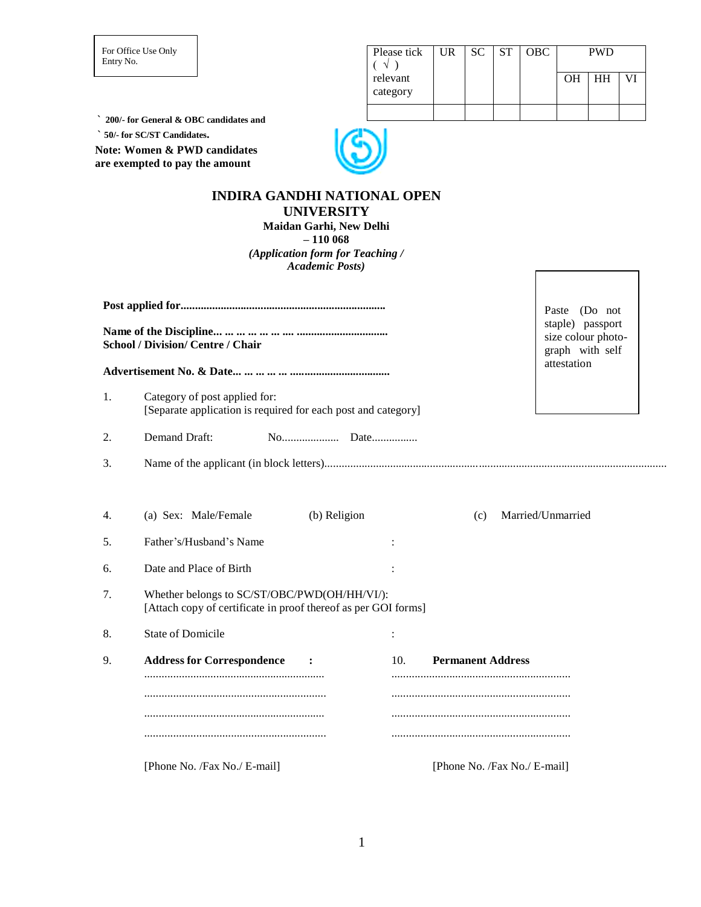For Office Use Only Entry No.

| Please tick          |  | UR SC ST OBC | <b>PWD</b> |    |  |
|----------------------|--|--------------|------------|----|--|
| relevant<br>category |  |              | OН         | HН |  |
|                      |  |              |            |    |  |

**` 200/- for General & OBC candidates and**

**` 50/- for SC/ST Candidates.**

**Note: Women & PWD candidates are exempted to pay the amount**



# **INDIRA GANDHI NATIONAL OPEN UNIVERSITY**

**Maidan Garhi, New Delhi – 110 068** *(Application form for Teaching / Academic Posts)*

|    |                                                                                                                |                                                           |     |                              | Paste<br>(Do not  |
|----|----------------------------------------------------------------------------------------------------------------|-----------------------------------------------------------|-----|------------------------------|-------------------|
|    | <b>School / Division/ Centre / Chair</b>                                                                       | staple) passport<br>size colour photo-<br>graph with self |     |                              |                   |
|    |                                                                                                                | attestation                                               |     |                              |                   |
| 1. | Category of post applied for:<br>[Separate application is required for each post and category]                 |                                                           |     |                              |                   |
| 2. | Demand Draft:                                                                                                  |                                                           |     |                              |                   |
| 3. |                                                                                                                |                                                           |     |                              |                   |
|    |                                                                                                                |                                                           |     |                              |                   |
| 4. | (a) Sex: Male/Female                                                                                           | (b) Religion                                              |     | (c)                          | Married/Unmarried |
| 5. | Father's/Husband's Name                                                                                        |                                                           |     |                              |                   |
| 6. | Date and Place of Birth                                                                                        |                                                           |     |                              |                   |
| 7. | Whether belongs to SC/ST/OBC/PWD(OH/HH/VI/):<br>[Attach copy of certificate in proof thereof as per GOI forms] |                                                           |     |                              |                   |
| 8. | <b>State of Domicile</b>                                                                                       |                                                           |     |                              |                   |
| 9. | <b>Address for Correspondence</b>                                                                              |                                                           | 10. | <b>Permanent Address</b>     |                   |
|    |                                                                                                                |                                                           |     |                              |                   |
|    |                                                                                                                |                                                           |     |                              |                   |
|    |                                                                                                                |                                                           |     |                              |                   |
|    | [Phone No. /Fax No./ E-mail]                                                                                   |                                                           |     | [Phone No. /Fax No./ E-mail] |                   |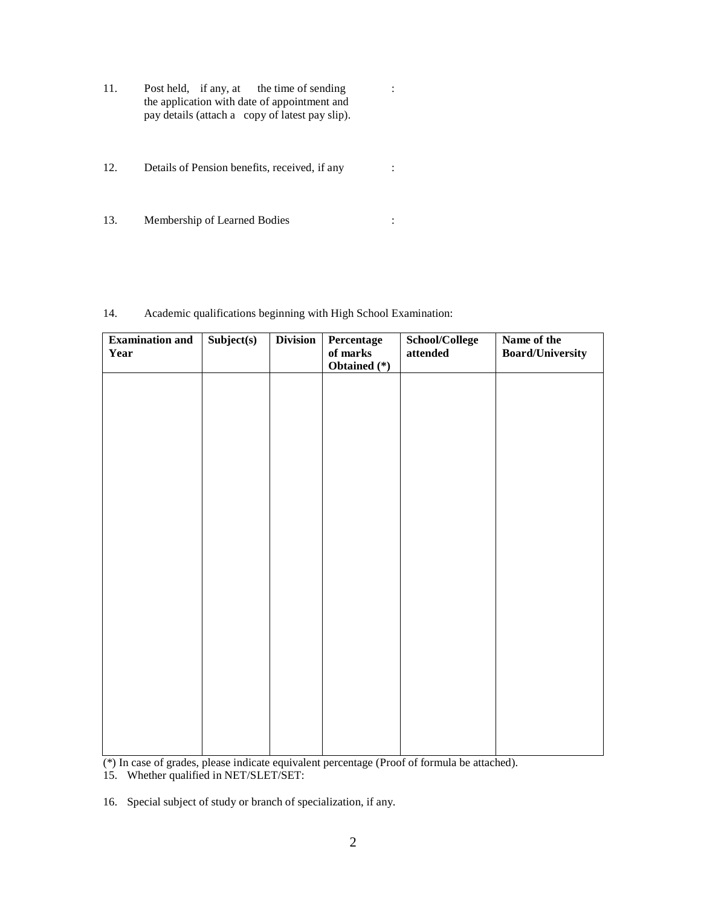- 11. Post held, if any, at the time of sending : the application with date of appointment and pay details (attach a copy of latest pay slip).
- 12. Details of Pension benefits, received, if any :
- 13. Membership of Learned Bodies :

## 14. Academic qualifications beginning with High School Examination:

| <b>Examination and</b> | Subject(s) | <b>Division</b> | Percentage               | School/College   | Name of the             |
|------------------------|------------|-----------------|--------------------------|------------------|-------------------------|
| Year                   |            |                 | of marks<br>Obtained (*) | $\quad$ attended | <b>Board/University</b> |
|                        |            |                 |                          |                  |                         |
|                        |            |                 |                          |                  |                         |
|                        |            |                 |                          |                  |                         |
|                        |            |                 |                          |                  |                         |
|                        |            |                 |                          |                  |                         |
|                        |            |                 |                          |                  |                         |
|                        |            |                 |                          |                  |                         |
|                        |            |                 |                          |                  |                         |
|                        |            |                 |                          |                  |                         |
|                        |            |                 |                          |                  |                         |
|                        |            |                 |                          |                  |                         |
|                        |            |                 |                          |                  |                         |
|                        |            |                 |                          |                  |                         |
|                        |            |                 |                          |                  |                         |
|                        |            |                 |                          |                  |                         |
|                        |            |                 |                          |                  |                         |
|                        |            |                 |                          |                  |                         |
|                        |            |                 |                          |                  |                         |
|                        |            |                 |                          |                  |                         |
|                        |            |                 |                          |                  |                         |
|                        |            |                 |                          |                  |                         |
|                        |            |                 |                          |                  |                         |

(\*) In case of grades, please indicate equivalent percentage (Proof of formula be attached).

15. Whether qualified in NET/SLET/SET:

16. Special subject of study or branch of specialization, if any.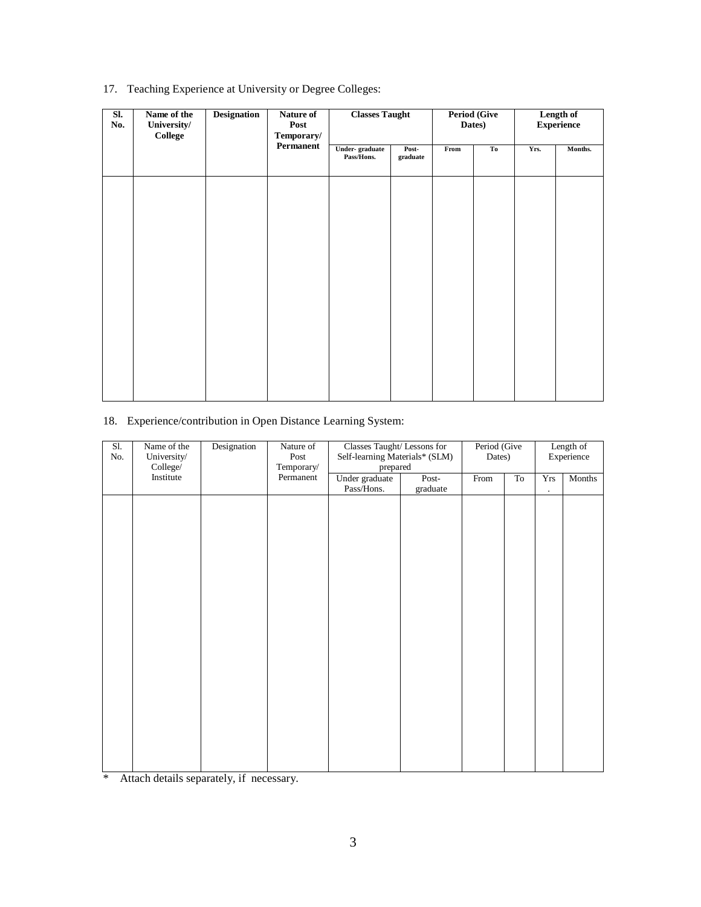# 17. Teaching Experience at University or Degree Colleges:

| SI.<br>No. | Name of the<br>University/<br>College | <b>Designation</b> | Nature of<br>Post<br>Temporary/ | <b>Classes Taught</b>        |                   |      | <b>Period (Give)</b><br>Dates) |      | Length of<br><b>Experience</b> |
|------------|---------------------------------------|--------------------|---------------------------------|------------------------------|-------------------|------|--------------------------------|------|--------------------------------|
|            |                                       |                    | Permanent                       | Under-graduate<br>Pass/Hons. | Post-<br>graduate | From | To                             | Yrs. | Months.                        |
|            |                                       |                    |                                 |                              |                   |      |                                |      |                                |
|            |                                       |                    |                                 |                              |                   |      |                                |      |                                |
|            |                                       |                    |                                 |                              |                   |      |                                |      |                                |
|            |                                       |                    |                                 |                              |                   |      |                                |      |                                |
|            |                                       |                    |                                 |                              |                   |      |                                |      |                                |
|            |                                       |                    |                                 |                              |                   |      |                                |      |                                |
|            |                                       |                    |                                 |                              |                   |      |                                |      |                                |

# 18. Experience/contribution in Open Distance Learning System:

| S1.<br>$\rm No.$ | Name of the<br>University/<br>College/ | Designation<br>Nature of<br>Post<br>Temporary/ |           | Classes Taught/ Lessons for<br>Self-learning Materials* (SLM)<br>prepared |                                                                                                                               |      | Period (Give<br>Length of<br>Experience<br>Dates) |            |        |
|------------------|----------------------------------------|------------------------------------------------|-----------|---------------------------------------------------------------------------|-------------------------------------------------------------------------------------------------------------------------------|------|---------------------------------------------------|------------|--------|
|                  | Institute                              |                                                | Permanent | Under graduate                                                            | Post-                                                                                                                         | From | To                                                | <b>Yrs</b> | Months |
|                  |                                        |                                                |           | Pass/Hons.                                                                | $\operatorname*{graduate}% \left( \mathcal{N}\right) \equiv\operatorname*{grad}\mathcal{N}^{\prime}\left( \mathcal{N}\right)$ |      |                                                   | $\cdot$    |        |
|                  |                                        |                                                |           |                                                                           |                                                                                                                               |      |                                                   |            |        |
|                  |                                        |                                                |           |                                                                           |                                                                                                                               |      |                                                   |            |        |
|                  |                                        |                                                |           |                                                                           |                                                                                                                               |      |                                                   |            |        |
|                  |                                        |                                                |           |                                                                           |                                                                                                                               |      |                                                   |            |        |
|                  |                                        |                                                |           |                                                                           |                                                                                                                               |      |                                                   |            |        |
|                  |                                        |                                                |           |                                                                           |                                                                                                                               |      |                                                   |            |        |
|                  |                                        |                                                |           |                                                                           |                                                                                                                               |      |                                                   |            |        |
|                  |                                        |                                                |           |                                                                           |                                                                                                                               |      |                                                   |            |        |
|                  |                                        |                                                |           |                                                                           |                                                                                                                               |      |                                                   |            |        |
|                  |                                        |                                                |           |                                                                           |                                                                                                                               |      |                                                   |            |        |
|                  |                                        |                                                |           |                                                                           |                                                                                                                               |      |                                                   |            |        |
|                  |                                        |                                                |           |                                                                           |                                                                                                                               |      |                                                   |            |        |
|                  |                                        |                                                |           |                                                                           |                                                                                                                               |      |                                                   |            |        |
|                  |                                        |                                                |           |                                                                           |                                                                                                                               |      |                                                   |            |        |
|                  |                                        |                                                |           |                                                                           |                                                                                                                               |      |                                                   |            |        |
|                  |                                        |                                                |           |                                                                           |                                                                                                                               |      |                                                   |            |        |
|                  |                                        |                                                |           |                                                                           |                                                                                                                               |      |                                                   |            |        |
|                  |                                        |                                                |           |                                                                           |                                                                                                                               |      |                                                   |            |        |
|                  |                                        |                                                |           |                                                                           |                                                                                                                               |      |                                                   |            |        |
|                  |                                        |                                                |           |                                                                           |                                                                                                                               |      |                                                   |            |        |

\* Attach details separately, if necessary.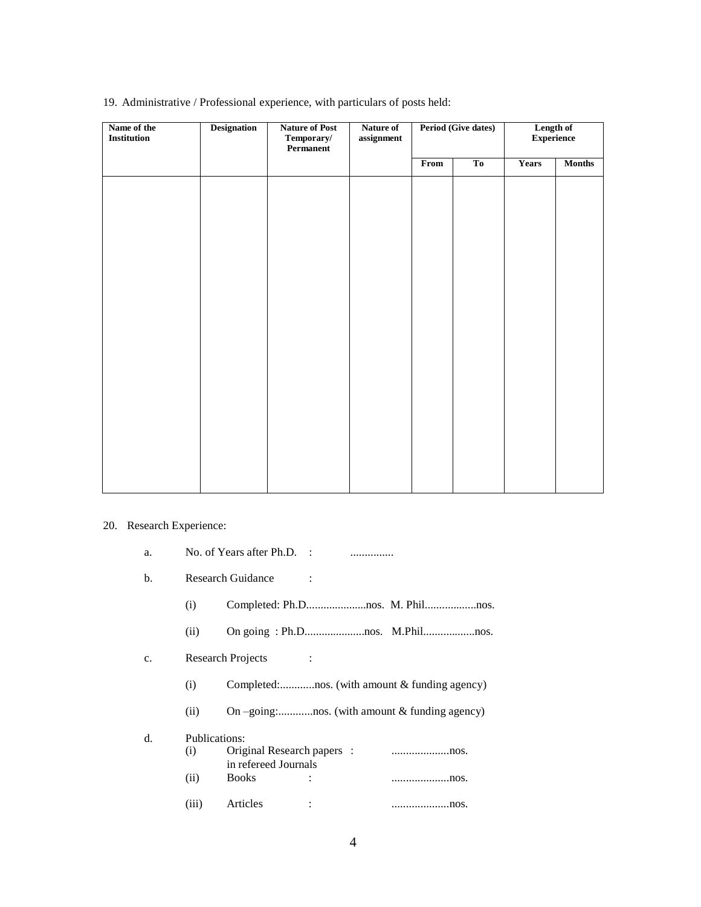| Name of the<br>Institution | <b>Designation</b> | <b>Nature of Post</b><br>Temporary/<br>Permanent | Nature of<br>assignment | <b>Period (Give dates)</b> |    | Length of<br><b>Experience</b> |               |
|----------------------------|--------------------|--------------------------------------------------|-------------------------|----------------------------|----|--------------------------------|---------------|
|                            |                    |                                                  |                         | From                       | To | <b>Years</b>                   | <b>Months</b> |
|                            |                    |                                                  |                         |                            |    |                                |               |
|                            |                    |                                                  |                         |                            |    |                                |               |
|                            |                    |                                                  |                         |                            |    |                                |               |
|                            |                    |                                                  |                         |                            |    |                                |               |
|                            |                    |                                                  |                         |                            |    |                                |               |
|                            |                    |                                                  |                         |                            |    |                                |               |
|                            |                    |                                                  |                         |                            |    |                                |               |
|                            |                    |                                                  |                         |                            |    |                                |               |
|                            |                    |                                                  |                         |                            |    |                                |               |
|                            |                    |                                                  |                         |                            |    |                                |               |
|                            |                    |                                                  |                         |                            |    |                                |               |
|                            |                    |                                                  |                         |                            |    |                                |               |
|                            |                    |                                                  |                         |                            |    |                                |               |
|                            |                    |                                                  |                         |                            |    |                                |               |
|                            |                    |                                                  |                         |                            |    |                                |               |
|                            |                    |                                                  |                         |                            |    |                                |               |
|                            |                    |                                                  |                         |                            |    |                                |               |

19. Administrative / Professional experience, with particulars of posts held:

# 20. Research Experience:

| a.             |                      | No. of Years after $Ph.D.$ :                       |  |                                                  |
|----------------|----------------------|----------------------------------------------------|--|--------------------------------------------------|
| b.             |                      | <b>Research Guidance</b>                           |  |                                                  |
|                | (i)                  |                                                    |  |                                                  |
|                | (ii)                 |                                                    |  |                                                  |
| C <sub>1</sub> |                      | Research Projects                                  |  |                                                  |
|                | (i)                  |                                                    |  | Completed:nos. (with amount & funding agency)    |
|                | (ii)                 |                                                    |  | On $-going$ :nos. (with amount & funding agency) |
| d.             | Publications:<br>(i) | Original Research papers :<br>in refereed Journals |  | nos.                                             |
|                | (ii)                 | <b>Books</b>                                       |  |                                                  |
|                | (iii)                | Articles                                           |  | nos.                                             |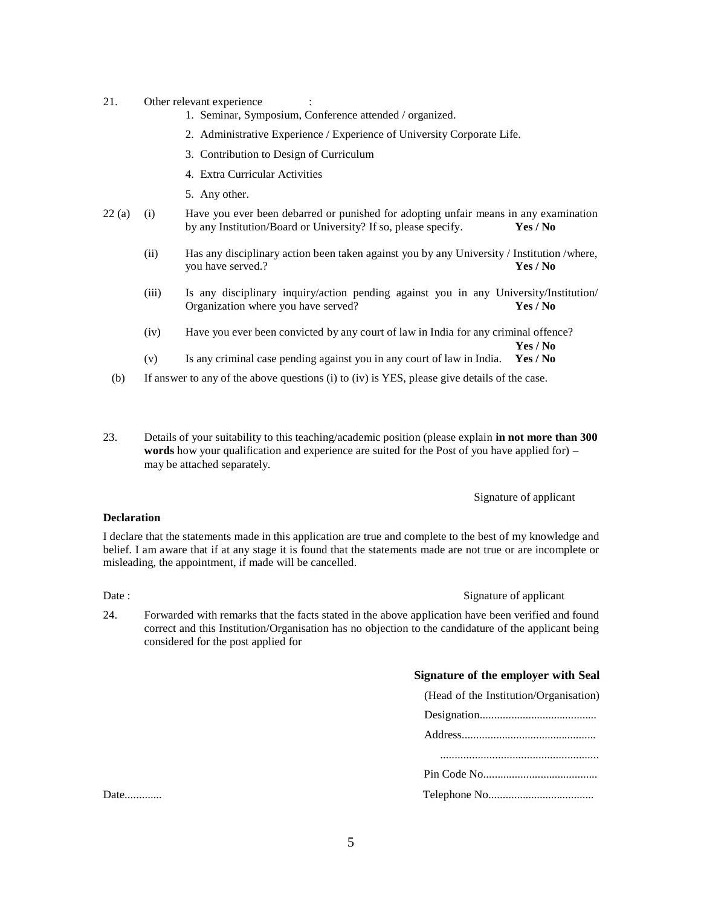- 21. Other relevant experience
	- 1. Seminar, Symposium, Conference attended / organized.
	- 2. Administrative Experience / Experience of University Corporate Life.
	- 3. Contribution to Design of Curriculum
	- 4. Extra Curricular Activities
	- 5. Any other.
- 22 (a) (i) Have you ever been debarred or punished for adopting unfair means in any examination by any Institution/Board or University? If so, please specify. **Yes / No**
	- (ii) Has any disciplinary action been taken against you by any University / Institution /where, you have served.? **Yes / No**
	- (iii) Is any disciplinary inquiry/action pending against you in any University/Institution/ Organization where you have served? **Yes / No**
	- (iv) Have you ever been convicted by any court of law in India for any criminal offence? **Yes / No**
	- (v) Is any criminal case pending against you in any court of law in India. **Yes / No**
	- (b) If answer to any of the above questions (i) to (iv) is YES, please give details of the case.
- 23. Details of your suitability to this teaching/academic position (please explain **in not more than 300 words** how your qualification and experience are suited for the Post of you have applied for) – may be attached separately.

#### Signature of applicant

#### **Declaration**

I declare that the statements made in this application are true and complete to the best of my knowledge and belief. I am aware that if at any stage it is found that the statements made are not true or are incomplete or misleading, the appointment, if made will be cancelled.

#### Date : Signature of applicant  $\sum_{n=1}^{\infty}$  Signature of applicant

24. Forwarded with remarks that the facts stated in the above application have been verified and found correct and this Institution/Organisation has no objection to the candidature of the applicant being considered for the post applied for

#### **Signature of the employer with Seal**

(Head of the Institution/Organisation) Designation.

Date..............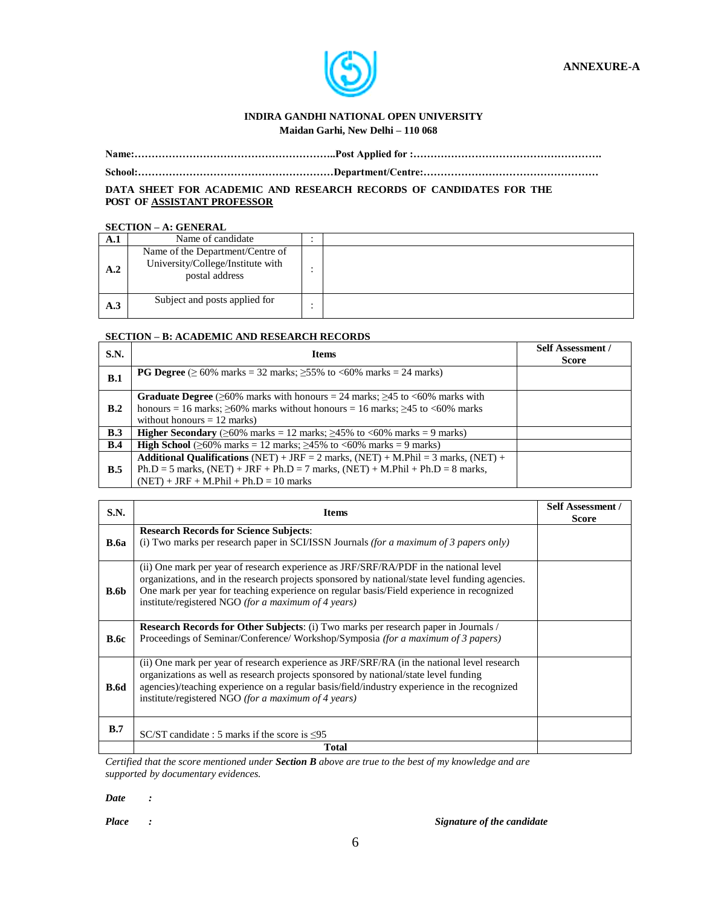

# **INDIRA GANDHI NATIONAL OPEN UNIVERSITY**

 **Maidan Garhi, New Delhi – 110 068**

**Name:…………………………………………………..Post Applied for :……………………………………………….**

**School:…………………………………………………Department/Centre:……………………………………………**

**DATA SHEET FOR ACADEMIC AND RESEARCH RECORDS OF CANDIDATES FOR THE POST OF ASSISTANT PROFESSOR**

### **SECTION – A: GENERAL**

| A.1 | Name of candidate                                                                       |  |
|-----|-----------------------------------------------------------------------------------------|--|
| A.2 | Name of the Department/Centre of<br>University/College/Institute with<br>postal address |  |
| A.3 | Subject and posts applied for                                                           |  |

### **SECTION – B: ACADEMIC AND RESEARCH RECORDS**

| S.N.       | <b>Items</b>                                                                                                                                                                                                                         | <b>Self Assessment /</b><br><b>Score</b> |
|------------|--------------------------------------------------------------------------------------------------------------------------------------------------------------------------------------------------------------------------------------|------------------------------------------|
| B.1        | <b>PG Degree</b> ( $\geq 60\%$ marks = 32 marks; $\geq 55\%$ to <60% marks = 24 marks)                                                                                                                                               |                                          |
| B.2        | <b>Graduate Degree</b> ( $\geq 60\%$ marks with honours = 24 marks; $\geq 45$ to <60% marks with<br>honours = 16 marks; $\geq 60\%$ marks without honours = 16 marks; $\geq 45$ to $\lt 60\%$ marks<br>without honours $= 12$ marks) |                                          |
| <b>B.3</b> | <b>Higher Secondary</b> ( $\geq 60\%$ marks = 12 marks; $\geq 45\%$ to $\lt 60\%$ marks = 9 marks)                                                                                                                                   |                                          |
| B.4        | <b>High School</b> ( $\geq 60\%$ marks = 12 marks; $\geq 45\%$ to <60% marks = 9 marks)                                                                                                                                              |                                          |
| B.5        | <b>Additional Qualifications</b> (NET) + JRF = 2 marks, (NET) + M.Phil = 3 marks, (NET) +<br>$Ph.D = 5$ marks, $(NET) + JRF + Ph.D = 7$ marks, $(NET) + M.PhiI + Ph.D = 8$ marks,<br>$(NET) + JRF + M. Phil + Ph.D = 10 marks$       |                                          |

| S.N.        | <b>Items</b>                                                                                                                                                                                                                                                                                                                                 | <b>Self Assessment /</b><br><b>Score</b> |
|-------------|----------------------------------------------------------------------------------------------------------------------------------------------------------------------------------------------------------------------------------------------------------------------------------------------------------------------------------------------|------------------------------------------|
| <b>B.6a</b> | <b>Research Records for Science Subjects:</b><br>(i) Two marks per research paper in SCI/ISSN Journals (for a maximum of 3 papers only)                                                                                                                                                                                                      |                                          |
| B.6b        | (ii) One mark per year of research experience as JRF/SRF/RA/PDF in the national level<br>organizations, and in the research projects sponsored by national/state level funding agencies.<br>One mark per year for teaching experience on regular basis/Field experience in recognized<br>institute/registered NGO (for a maximum of 4 years) |                                          |
| <b>B.6c</b> | <b>Research Records for Other Subjects:</b> (i) Two marks per research paper in Journals /<br>Proceedings of Seminar/Conference/Workshop/Symposia (for a maximum of 3 papers)                                                                                                                                                                |                                          |
| <b>B.6d</b> | (ii) One mark per year of research experience as JRF/SRF/RA (in the national level research<br>organizations as well as research projects sponsored by national/state level funding<br>agencies)/teaching experience on a regular basis/field/industry experience in the recognized<br>institute/registered NGO (for a maximum of 4 years)   |                                          |
| B.7         | SC/ST candidate : 5 marks if the score is $\leq 95$                                                                                                                                                                                                                                                                                          |                                          |
|             | Total                                                                                                                                                                                                                                                                                                                                        |                                          |

*Certified that the score mentioned under Section B above are true to the best of my knowledge and are supported by documentary evidences.*

*Date :*

*Place : Signature of the candidate*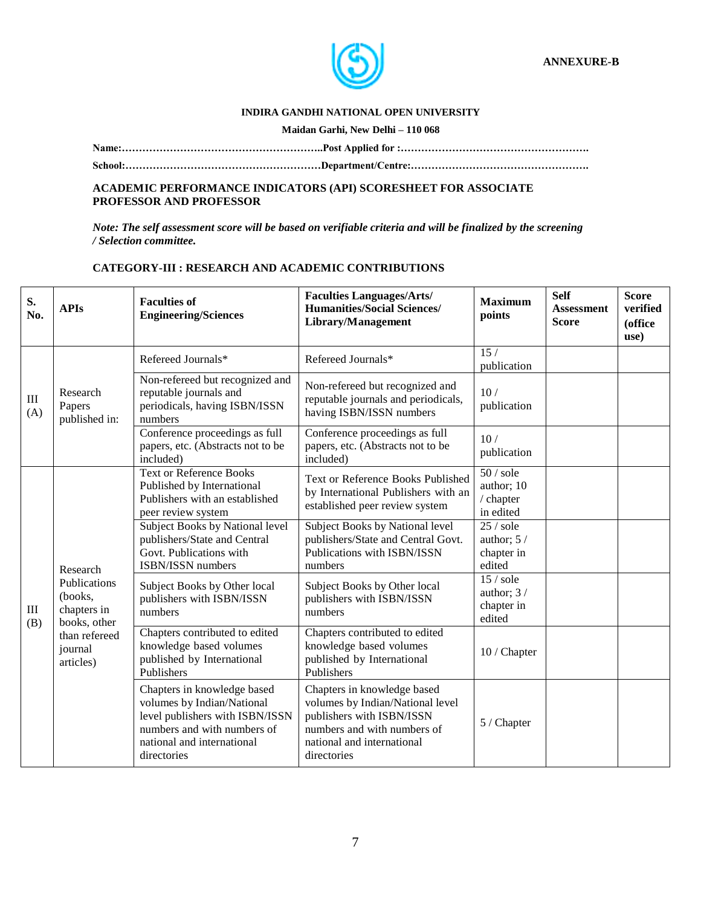

### **INDIRA GANDHI NATIONAL OPEN UNIVERSITY**

#### **Maidan Garhi, New Delhi – 110 068**

**Name:…………………………………………………..Post Applied for :……………………………………………….**

**School:…………………………………………………Department/Centre:…………………………………………….**

#### **ACADEMIC PERFORMANCE INDICATORS (API) SCORESHEET FOR ASSOCIATE PROFESSOR AND PROFESSOR**

*Note: The self assessment score will be based on verifiable criteria and will be finalized by the screening / Selection committee.*

## **CATEGORY-III : RESEARCH AND ACADEMIC CONTRIBUTIONS**

| S.<br>No.                            | <b>APIs</b>                                            | <b>Faculties of</b><br><b>Engineering/Sciences</b>                                                                                                                       | <b>Faculties Languages/Arts/</b><br><b>Humanities/Social Sciences/</b><br>Library/Management                                                                             | <b>Maximum</b><br>points                                     | <b>Self</b><br><b>Assessment</b><br><b>Score</b> | <b>Score</b><br>verified<br>(office<br>use) |
|--------------------------------------|--------------------------------------------------------|--------------------------------------------------------------------------------------------------------------------------------------------------------------------------|--------------------------------------------------------------------------------------------------------------------------------------------------------------------------|--------------------------------------------------------------|--------------------------------------------------|---------------------------------------------|
|                                      |                                                        | Refereed Journals*                                                                                                                                                       | Refereed Journals*                                                                                                                                                       | $\overline{15/}$<br>publication                              |                                                  |                                             |
| $\rm III$<br>(A)<br>$\rm III$<br>(B) | Research<br>Papers<br>published in:                    | Non-refereed but recognized and<br>reputable journals and<br>periodicals, having ISBN/ISSN<br>numbers                                                                    | Non-refereed but recognized and<br>reputable journals and periodicals,<br>having ISBN/ISSN numbers                                                                       | 10/<br>publication                                           |                                                  |                                             |
|                                      |                                                        | Conference proceedings as full<br>papers, etc. (Abstracts not to be<br>included)                                                                                         | Conference proceedings as full<br>papers, etc. (Abstracts not to be<br>included)                                                                                         | 10/<br>publication                                           |                                                  |                                             |
|                                      |                                                        | <b>Text or Reference Books</b><br>Published by International<br>Publishers with an established<br>peer review system                                                     | Text or Reference Books Published<br>by International Publishers with an<br>established peer review system                                                               | 50 / <sub>Sole</sub><br>author; 10<br>/ chapter<br>in edited |                                                  |                                             |
|                                      | Research                                               | Subject Books by National level<br>publishers/State and Central<br>Govt. Publications with<br>ISBN/ISSN numbers                                                          | Subject Books by National level<br>publishers/State and Central Govt.<br>Publications with ISBN/ISSN<br>numbers                                                          | 25 / <sub>Sole</sub><br>author; $5/$<br>chapter in<br>edited |                                                  |                                             |
|                                      | Publications<br>(books,<br>chapters in<br>books, other | Subject Books by Other local<br>publishers with ISBN/ISSN<br>numbers                                                                                                     | Subject Books by Other local<br>publishers with ISBN/ISSN<br>numbers                                                                                                     | 15 / <sub>Sole</sub><br>author; $3/$<br>chapter in<br>edited |                                                  |                                             |
|                                      | than refereed<br>journal<br>articles)                  | Chapters contributed to edited<br>knowledge based volumes<br>published by International<br>Publishers                                                                    | Chapters contributed to edited<br>knowledge based volumes<br>published by International<br>Publishers                                                                    | 10 / Chapter                                                 |                                                  |                                             |
|                                      |                                                        | Chapters in knowledge based<br>volumes by Indian/National<br>level publishers with ISBN/ISSN<br>numbers and with numbers of<br>national and international<br>directories | Chapters in knowledge based<br>volumes by Indian/National level<br>publishers with ISBN/ISSN<br>numbers and with numbers of<br>national and international<br>directories | 5 / Chapter                                                  |                                                  |                                             |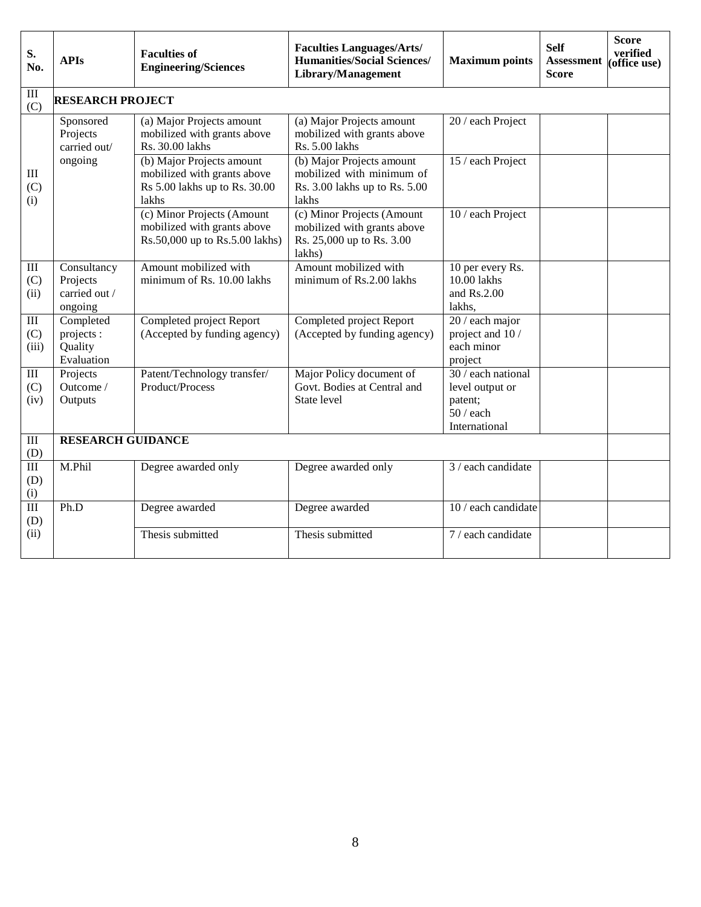| S.<br>No.                               | <b>APIs</b>                                         | <b>Faculties of</b><br><b>Engineering/Sciences</b>                                                 | <b>Faculties Languages/Arts/</b><br><b>Humanities/Social Sciences/</b><br>Library/Management     | <b>Maximum</b> points                                                           | <b>Self</b><br><b>Assessment</b><br><b>Score</b> | <b>Score</b><br>verified<br>(office use) |  |  |  |
|-----------------------------------------|-----------------------------------------------------|----------------------------------------------------------------------------------------------------|--------------------------------------------------------------------------------------------------|---------------------------------------------------------------------------------|--------------------------------------------------|------------------------------------------|--|--|--|
| $\mathop{\mathrm{III}}\nolimits$<br>(C) | <b>RESEARCH PROJECT</b>                             |                                                                                                    |                                                                                                  |                                                                                 |                                                  |                                          |  |  |  |
|                                         | Sponsored<br>Projects<br>carried out/               | (a) Major Projects amount<br>mobilized with grants above<br>Rs. 30.00 lakhs                        | (a) Major Projects amount<br>mobilized with grants above<br>Rs. 5.00 lakhs                       | 20 / each Project                                                               |                                                  |                                          |  |  |  |
| $\rm III$<br>(C)<br>(i)                 | ongoing                                             | (b) Major Projects amount<br>mobilized with grants above<br>Rs 5.00 lakhs up to Rs. 30.00<br>lakhs | (b) Major Projects amount<br>mobilized with minimum of<br>Rs. 3.00 lakhs up to Rs. 5.00<br>lakhs | 15 / each Project                                                               |                                                  |                                          |  |  |  |
|                                         |                                                     | (c) Minor Projects (Amount<br>mobilized with grants above<br>Rs.50,000 up to Rs.5.00 lakhs)        | (c) Minor Projects (Amount<br>mobilized with grants above<br>Rs. 25,000 up to Rs. 3.00<br>lakhs) | 10 / each Project                                                               |                                                  |                                          |  |  |  |
| $\rm III$<br>(C)<br>(ii)                | Consultancy<br>Projects<br>carried out /<br>ongoing | Amount mobilized with<br>minimum of Rs. 10.00 lakhs                                                | Amount mobilized with<br>minimum of Rs.2.00 lakhs                                                | 10 per every Rs.<br>10.00 lakhs<br>and $Rs.2.00$<br>lakhs,                      |                                                  |                                          |  |  |  |
| $\rm III$<br>(C)<br>(iii)               | Completed<br>projects :<br>Quality<br>Evaluation    | Completed project Report<br>(Accepted by funding agency)                                           | Completed project Report<br>(Accepted by funding agency)                                         | 20 / each major<br>project and 10/<br>each minor<br>project                     |                                                  |                                          |  |  |  |
| $\rm III$<br>(C)<br>(iv)                | Projects<br>Outcome /<br>Outputs                    | Patent/Technology transfer/<br>Product/Process                                                     | Major Policy document of<br>Govt. Bodies at Central and<br>State level                           | 30 / each national<br>level output or<br>patent;<br>$50/$ each<br>International |                                                  |                                          |  |  |  |
| $\rm III$<br>(D)                        | <b>RESEARCH GUIDANCE</b>                            |                                                                                                    |                                                                                                  |                                                                                 |                                                  |                                          |  |  |  |
| $\overline{\rm III}$<br>(D)<br>(i)      | M.Phil                                              | Degree awarded only                                                                                | Degree awarded only                                                                              | 3 / each candidate                                                              |                                                  |                                          |  |  |  |
| $\overline{III}$<br>(D)                 | Ph.D                                                | Degree awarded                                                                                     | Degree awarded                                                                                   | 10 / each candidate                                                             |                                                  |                                          |  |  |  |
| (ii)                                    |                                                     | Thesis submitted                                                                                   | Thesis submitted                                                                                 | 7 / each candidate                                                              |                                                  |                                          |  |  |  |